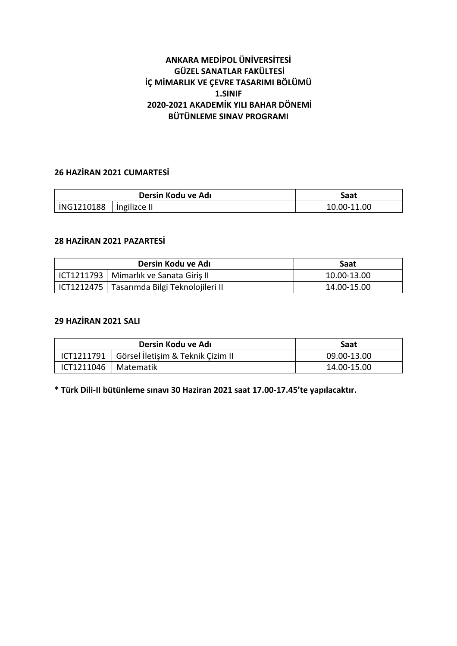# **ANKARA MEDİPOL ÜNİVERSİTESİ GÜZEL SANATLAR FAKÜLTESİ İÇ MİMARLIK VE ÇEVRE TASARIMI BÖLÜMÜ 1.SINIF 2020-2021 AKADEMİK YILI BAHAR DÖNEMİ BÜTÜNLEME SINAV PROGRAMI**

## **26 HAZİRAN 2021 CUMARTESİ**

| Dersin Kodu ve Adı |                  | Saat        |
|--------------------|------------------|-------------|
| iNG1210188         | $ $ ingilizce II | 10.00-11.00 |

## **28 HAZİRAN 2021 PAZARTESİ**

| Dersin Kodu ve Adı |                                               | Saat        |
|--------------------|-----------------------------------------------|-------------|
|                    | ICT1211793   Mimarlık ve Sanata Giriş II      | 10.00-13.00 |
|                    | ICT1212475   Tasarımda Bilgi Teknolojileri II | 14.00-15.00 |

# **29 HAZİRAN 2021 SALI**

| Dersin Kodu ve Adı     |                                   | Saat        |
|------------------------|-----------------------------------|-------------|
| ICT1211791             | Görsel İletişim & Teknik Çizim II | 09.00-13.00 |
| ICT1211046   Matematik |                                   | 14.00-15.00 |

**\* Türk Dili-II bütünleme sınavı 30 Haziran 2021 saat 17.00-17.45'te yapılacaktır.**